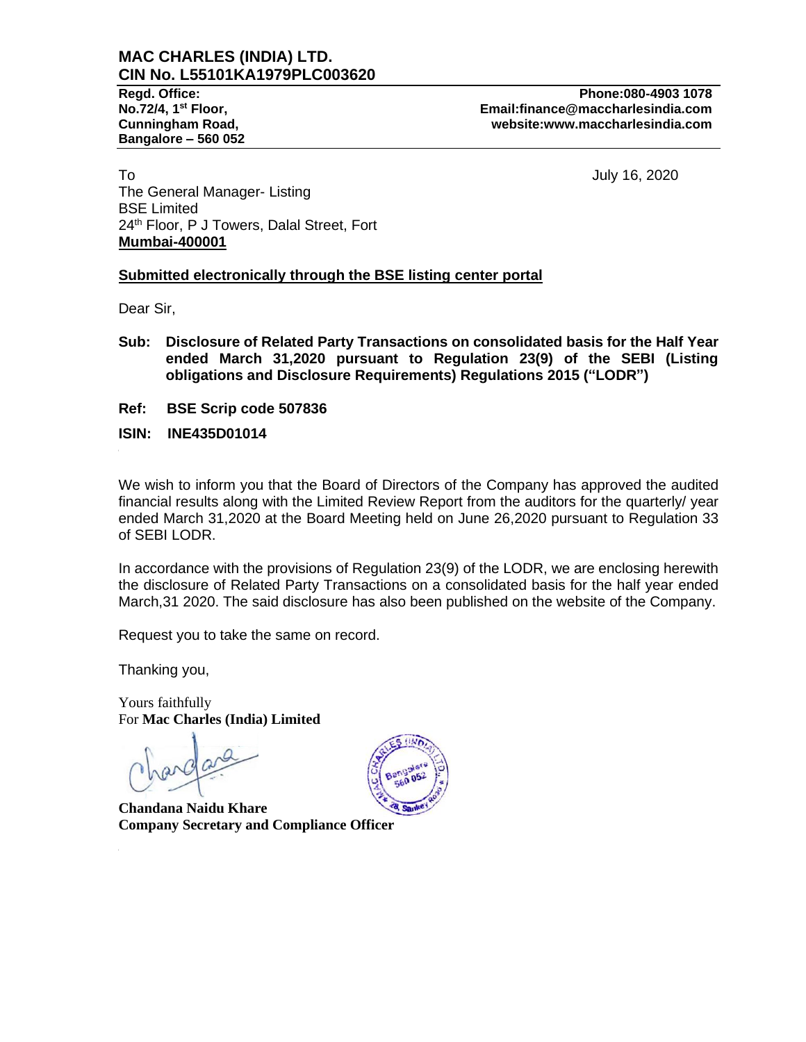# **MAC CHARLES (INDIA) LTD. CIN No. L55101KA1979PLC003620**

**Bangalore – 560 052**

**Regd. Office: Phone:080-4903 1078 No.72/4, 1st Floor, Email:finance@maccharlesindia.com Cunningham Road, website:www.maccharlesindia.com**

To July 16, 2020 The General Manager- Listing BSE Limited 24<sup>th</sup> Floor, P J Towers, Dalal Street, Fort **Mumbai-400001**

## **Submitted electronically through the BSE listing center portal**

Dear Sir,

- **Sub: Disclosure of Related Party Transactions on consolidated basis for the Half Year ended March 31,2020 pursuant to Regulation 23(9) of the SEBI (Listing obligations and Disclosure Requirements) Regulations 2015 ("LODR")**
- **Ref: BSE Scrip code 507836**
- **ISIN: INE435D01014**

We wish to inform you that the Board of Directors of the Company has approved the audited financial results along with the Limited Review Report from the auditors for the quarterly/ year ended March 31,2020 at the Board Meeting held on June 26,2020 pursuant to Regulation 33 of SEBI LODR.

In accordance with the provisions of Regulation 23(9) of the LODR, we are enclosing herewith the disclosure of Related Party Transactions on a consolidated basis for the half year ended March,31 2020. The said disclosure has also been published on the website of the Company.

Request you to take the same on record.

Thanking you,

Yours faithfully For **Mac Charles (India) Limited**

**Chandana Naidu Khare Company Secretary and Compliance Officer** 

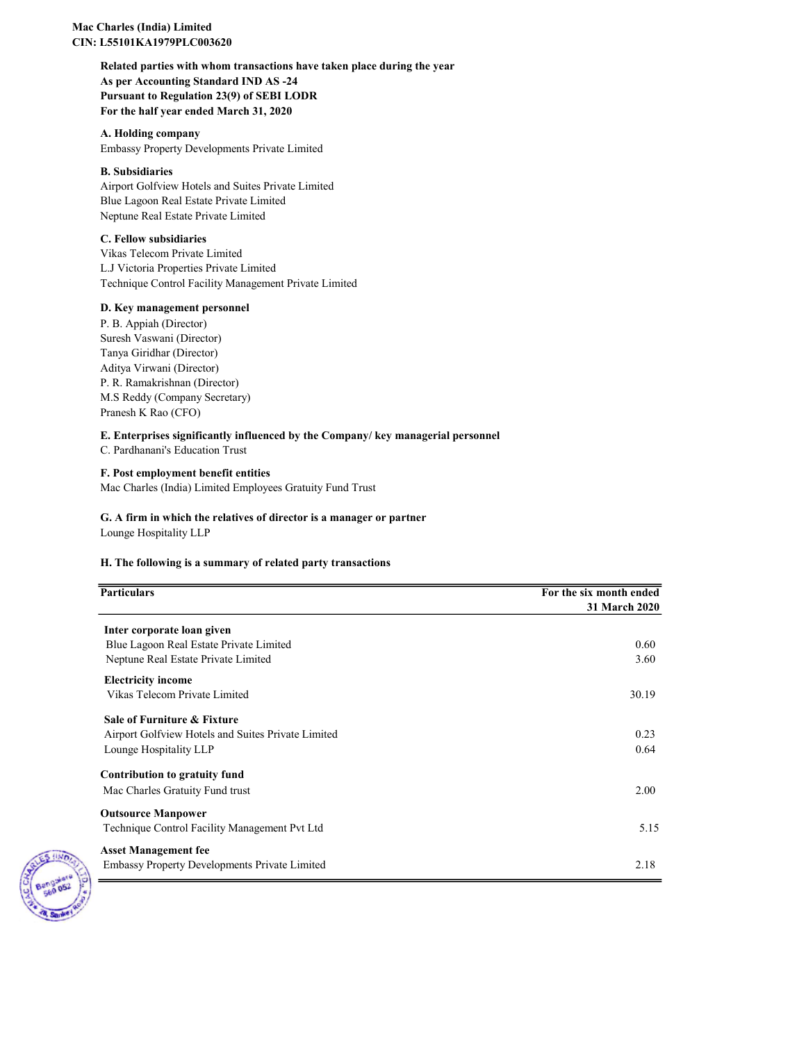## Mac Charles (India) Limited CIN: L55101KA1979PLC003620

Related parties with whom transactions have taken place during the year As per Accounting Standard IND AS -24 Pursuant to Regulation 23(9) of SEBI LODR For the half year ended March 31, 2020

A. Holding company Embassy Property Developments Private Limited

## B. Subsidiaries

Airport Golfview Hotels and Suites Private Limited Blue Lagoon Real Estate Private Limited Neptune Real Estate Private Limited

#### C. Fellow subsidiaries

Vikas Telecom Private Limited L.J Victoria Properties Private Limited Technique Control Facility Management Private Limited

## D. Key management personnel

P. B. Appiah (Director) Suresh Vaswani (Director) Tanya Giridhar (Director) Aditya Virwani (Director) P. R. Ramakrishnan (Director) M.S Reddy (Company Secretary) Pranesh K Rao (CFO)

## E. Enterprises significantly influenced by the Company/ key managerial personnel

C. Pardhanani's Education Trust

## F. Post employment benefit entities

Mac Charles (India) Limited Employees Gratuity Fund Trust

## G. A firm in which the relatives of director is a manager or partner

Lounge Hospitality LLP

## H. The following is a summary of related party transactions

| <b>Particulars</b>                                   | For the six month ended |
|------------------------------------------------------|-------------------------|
|                                                      | <b>31 March 2020</b>    |
| Inter corporate loan given                           |                         |
| Blue Lagoon Real Estate Private Limited              | 0.60                    |
| Neptune Real Estate Private Limited                  | 3.60                    |
| <b>Electricity income</b>                            |                         |
| Vikas Telecom Private Limited                        | 30.19                   |
| Sale of Furniture & Fixture                          |                         |
| Airport Golfview Hotels and Suites Private Limited   | 0.23                    |
| Lounge Hospitality LLP                               | 0.64                    |
| Contribution to gratuity fund                        |                         |
| Mac Charles Gratuity Fund trust                      | 2.00                    |
| <b>Outsource Manpower</b>                            |                         |
| Technique Control Facility Management Pvt Ltd        | 5.15                    |
| <b>Asset Management fee</b>                          |                         |
| <b>Embassy Property Developments Private Limited</b> | 2.18                    |

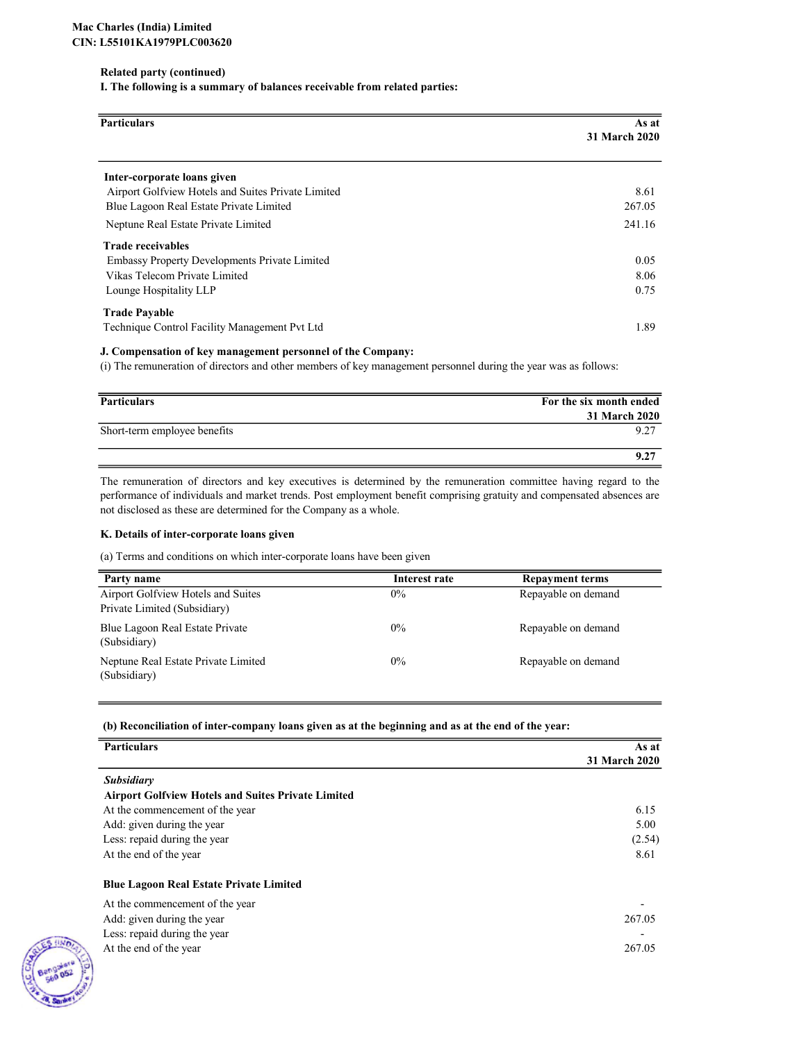#### Related party (continued)

I. The following is a summary of balances receivable from related parties:

| <b>Particulars</b>                                   | As at                |
|------------------------------------------------------|----------------------|
|                                                      | <b>31 March 2020</b> |
| Inter-corporate loans given                          |                      |
| Airport Golfview Hotels and Suites Private Limited   | 8.61                 |
| Blue Lagoon Real Estate Private Limited              | 267.05               |
| Neptune Real Estate Private Limited                  | 241.16               |
| <b>Trade receivables</b>                             |                      |
| <b>Embassy Property Developments Private Limited</b> | 0.05                 |
| Vikas Telecom Private Limited                        | 8.06                 |
| Lounge Hospitality LLP                               | 0.75                 |
| <b>Trade Payable</b>                                 |                      |
| Technique Control Facility Management Pvt Ltd        | 1.89                 |

#### J. Compensation of key management personnel of the Company:

(i) The remuneration of directors and other members of key management personnel during the year was as follows:

| <b>Particulars</b>           | For the six month ended |
|------------------------------|-------------------------|
|                              | <b>31 March 2020</b>    |
| Short-term employee benefits | 9.27                    |
|                              | 9.27                    |

The remuneration of directors and key executives is determined by the remuneration committee having regard to the performance of individuals and market trends. Post employment benefit comprising gratuity and compensated absences are not disclosed as these are determined for the Company as a whole.

#### K. Details of inter-corporate loans given

(a) Terms and conditions on which inter-corporate loans have been given

| Party name                                                         | Interest rate | <b>Repayment terms</b> |
|--------------------------------------------------------------------|---------------|------------------------|
| Airport Golfview Hotels and Suites<br>Private Limited (Subsidiary) | $0\%$         | Repayable on demand    |
| Blue Lagoon Real Estate Private<br>(Subsidiary)                    | $0\%$         | Repayable on demand    |
| Neptune Real Estate Private Limited<br>(Subsidiary)                | $0\%$         | Repayable on demand    |

#### (b) Reconciliation of inter-company loans given as at the beginning and as at the end of the year:

| <b>Particulars</b>                                        | As at         |
|-----------------------------------------------------------|---------------|
|                                                           | 31 March 2020 |
| <b>Subsidiary</b>                                         |               |
| <b>Airport Golfview Hotels and Suites Private Limited</b> |               |
| At the commencement of the year                           | 6.15          |
| Add: given during the year                                | 5.00          |
| Less: repaid during the year                              | (2.54)        |
| At the end of the year                                    | 8.61          |
| <b>Blue Lagoon Real Estate Private Limited</b>            |               |
| At the commencement of the year                           |               |
| Add: given during the year                                | 267.05        |
| Less: repaid during the year                              |               |
| At the end of the year                                    | 267.05        |